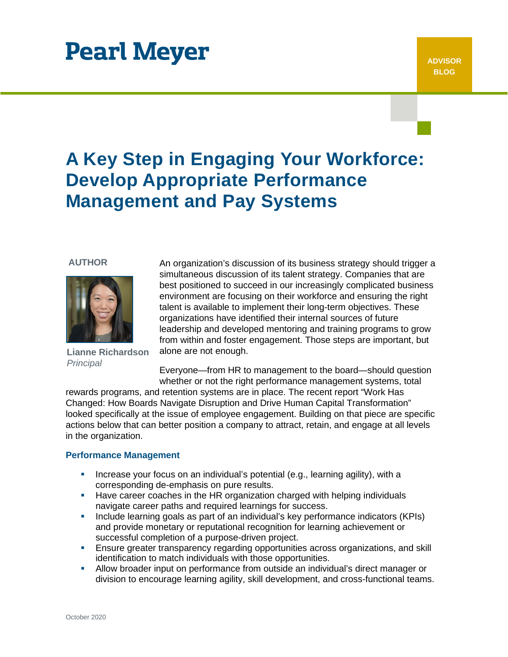# **Pearl Meyer**

## **A Key Step in Engaging Your Workforce: Develop Appropriate Performance Management and Pay Systems**

#### **AUTHOR**



**Lianne Richardson** *Principal*

An organization's discussion of its business strategy should trigger a simultaneous discussion of its talent strategy. Companies that are best positioned to succeed in our increasingly complicated business environment are focusing on their workforce and ensuring the right talent is available to implement their long-term objectives. These organizations have identified their internal sources of future leadership and developed mentoring and training programs to grow from within and foster engagement. Those steps are important, but alone are not enough.

Everyone—from HR to management to the board—should question whether or not the right performance management systems, total

rewards programs, and retention systems are in place. The recent report "Work Has Changed: How Boards Navigate Disruption and Drive Human Capital Transformation" looked specifically at the issue of employee engagement. Building on that piece are specific actions below that can better position a company to attract, retain, and engage at all levels in the organization.

#### **Performance Management**

- **Increase your focus on an individual's potential (e.g., learning agility), with a** corresponding de-emphasis on pure results.
- Have career coaches in the HR organization charged with helping individuals navigate career paths and required learnings for success.
- Include learning goals as part of an individual's key performance indicators (KPIs) and provide monetary or reputational recognition for learning achievement or successful completion of a purpose-driven project.
- Ensure greater transparency regarding opportunities across organizations, and skill identification to match individuals with those opportunities.
- Allow broader input on performance from outside an individual's direct manager or division to encourage learning agility, skill development, and cross-functional teams.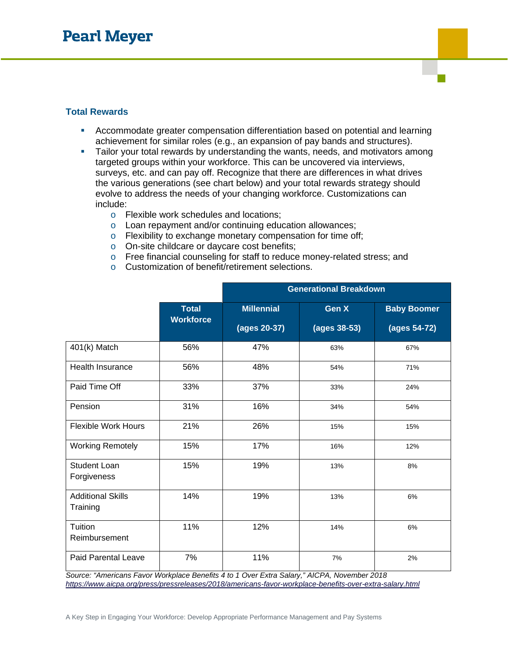### **Total Rewards**

- Accommodate greater compensation differentiation based on potential and learning achievement for similar roles (e.g., an expansion of pay bands and structures).
- Tailor your total rewards by understanding the wants, needs, and motivators among targeted groups within your workforce. This can be uncovered via interviews, surveys, etc. and can pay off. Recognize that there are differences in what drives the various generations (see chart below) and your total rewards strategy should evolve to address the needs of your changing workforce. Customizations can include:
	- o Flexible work schedules and locations;
	- o Loan repayment and/or continuing education allowances;
	- o Flexibility to exchange monetary compensation for time off;
	- o On-site childcare or daycare cost benefits;
	- o Free financial counseling for staff to reduce money-related stress; and
	- o Customization of benefit/retirement selections.

|                                      |                  | <b>Generational Breakdown</b> |              |                    |
|--------------------------------------|------------------|-------------------------------|--------------|--------------------|
|                                      | <b>Total</b>     | <b>Millennial</b>             | Gen X        | <b>Baby Boomer</b> |
|                                      | <b>Workforce</b> | (ages 20-37)                  | (ages 38-53) | (ages 54-72)       |
| 401(k) Match                         | 56%              | 47%                           | 63%          | 67%                |
| <b>Health Insurance</b>              | 56%              | 48%                           | 54%          | 71%                |
| Paid Time Off                        | 33%              | 37%                           | 33%          | 24%                |
| Pension                              | 31%              | 16%                           | 34%          | 54%                |
| <b>Flexible Work Hours</b>           | 21%              | 26%                           | 15%          | 15%                |
| <b>Working Remotely</b>              | 15%              | 17%                           | 16%          | 12%                |
| <b>Student Loan</b><br>Forgiveness   | 15%              | 19%                           | 13%          | 8%                 |
| <b>Additional Skills</b><br>Training | 14%              | 19%                           | 13%          | 6%                 |
| Tuition<br>Reimbursement             | 11%              | 12%                           | 14%          | 6%                 |
| <b>Paid Parental Leave</b>           | 7%               | 11%                           | 7%           | 2%                 |

*Source: "Americans Favor Workplace Benefits 4 to 1 Over Extra Salary," AICPA, November 2018 <https://www.aicpa.org/press/pressreleases/2018/americans-favor-workplace-benefits-over-extra-salary.html>*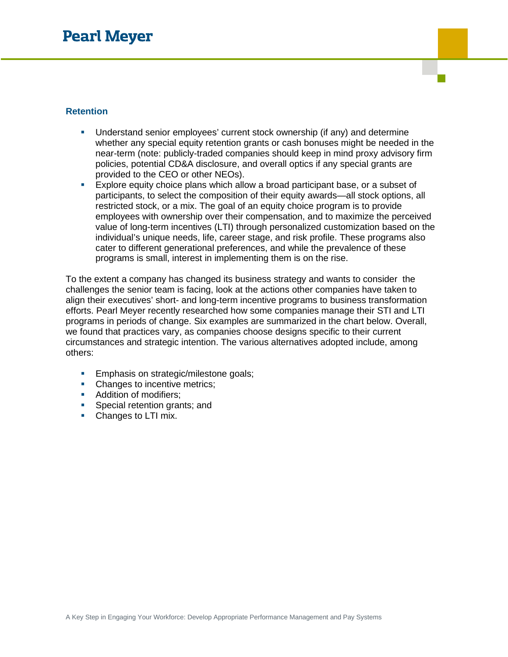### **Retention**

- Understand senior employees' current stock ownership (if any) and determine whether any special equity retention grants or cash bonuses might be needed in the near-term (note: publicly-traded companies should keep in mind proxy advisory firm policies, potential CD&A disclosure, and overall optics if any special grants are provided to the CEO or other NEOs).
- Explore equity choice plans which allow a broad participant base, or a subset of participants, to select the composition of their equity awards—all stock options, all restricted stock, or a mix. The goal of an equity choice program is to provide employees with ownership over their compensation, and to maximize the perceived value of long-term incentives (LTI) through personalized customization based on the individual's unique needs, life, career stage, and risk profile. These programs also cater to different generational preferences, and while the prevalence of these programs is small, interest in implementing them is on the rise.

To the extent a company has changed its business strategy and wants to consider the challenges the senior team is facing, look at the actions other companies have taken to align their executives' short- and long-term incentive programs to business transformation efforts. Pearl Meyer recently researched how some companies manage their STI and LTI programs in periods of change. Six examples are summarized in the chart below. Overall, we found that practices vary, as companies choose designs specific to their current circumstances and strategic intention. The various alternatives adopted include, among others:

- **Emphasis on strategic/milestone goals;**
- Changes to incentive metrics;
- Addition of modifiers;
- **Special retention grants; and**
- Changes to LTI mix.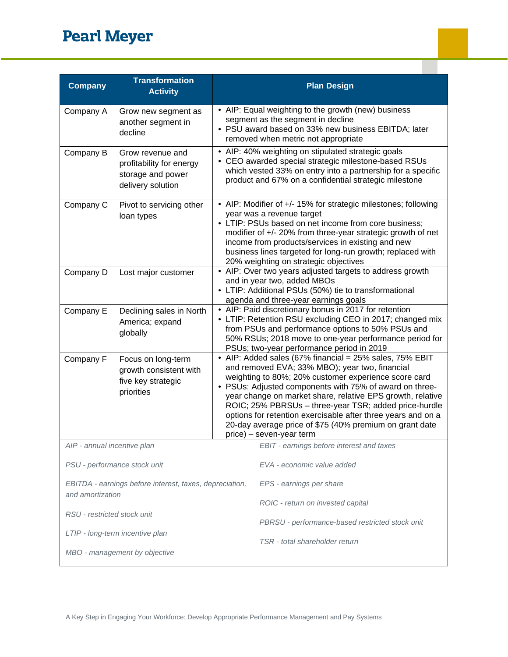## **Pearl Meyer**

| <b>Company</b>                                                              | <b>Transformation</b><br><b>Activity</b>                                               | <b>Plan Design</b>                                                                                                                                                                                                                                                                                                                                                                                                                                                                                         |
|-----------------------------------------------------------------------------|----------------------------------------------------------------------------------------|------------------------------------------------------------------------------------------------------------------------------------------------------------------------------------------------------------------------------------------------------------------------------------------------------------------------------------------------------------------------------------------------------------------------------------------------------------------------------------------------------------|
| Company A                                                                   | Grow new segment as<br>another segment in<br>decline                                   | • AIP: Equal weighting to the growth (new) business<br>segment as the segment in decline<br>• PSU award based on 33% new business EBITDA; later<br>removed when metric not appropriate                                                                                                                                                                                                                                                                                                                     |
| Company B                                                                   | Grow revenue and<br>profitability for energy<br>storage and power<br>delivery solution | • AIP: 40% weighting on stipulated strategic goals<br>• CEO awarded special strategic milestone-based RSUs<br>which vested 33% on entry into a partnership for a specific<br>product and 67% on a confidential strategic milestone                                                                                                                                                                                                                                                                         |
| Company C                                                                   | Pivot to servicing other<br>loan types                                                 | • AIP: Modifier of +/- 15% for strategic milestones; following<br>year was a revenue target<br>• LTIP: PSUs based on net income from core business;<br>modifier of +/- 20% from three-year strategic growth of net<br>income from products/services in existing and new<br>business lines targeted for long-run growth; replaced with<br>20% weighting on strategic objectives                                                                                                                             |
| Company D                                                                   | Lost major customer                                                                    | • AIP: Over two years adjusted targets to address growth<br>and in year two, added MBOs<br>• LTIP: Additional PSUs (50%) tie to transformational<br>agenda and three-year earnings goals                                                                                                                                                                                                                                                                                                                   |
| Company E                                                                   | Declining sales in North<br>America; expand<br>globally                                | • AIP: Paid discretionary bonus in 2017 for retention<br>• LTIP: Retention RSU excluding CEO in 2017; changed mix<br>from PSUs and performance options to 50% PSUs and<br>50% RSUs; 2018 move to one-year performance period for<br>PSUs; two-year performance period in 2019                                                                                                                                                                                                                              |
| Company F                                                                   | Focus on long-term<br>growth consistent with<br>five key strategic<br>priorities       | • AIP: Added sales (67% financial = 25% sales, 75% EBIT<br>and removed EVA; 33% MBO); year two, financial<br>weighting to 80%; 20% customer experience score card<br>• PSUs: Adjusted components with 75% of award on three-<br>year change on market share, relative EPS growth, relative<br>ROIC; 25% PBRSUs - three-year TSR; added price-hurdle<br>options for retention exercisable after three years and on a<br>20-day average price of \$75 (40% premium on grant date<br>price) – seven-year term |
| AIP - annual incentive plan                                                 |                                                                                        | EBIT - earnings before interest and taxes                                                                                                                                                                                                                                                                                                                                                                                                                                                                  |
| PSU - performance stock unit                                                |                                                                                        | EVA - economic value added                                                                                                                                                                                                                                                                                                                                                                                                                                                                                 |
| EBITDA - earnings before interest, taxes, depreciation,<br>and amortization |                                                                                        | EPS - earnings per share<br>ROIC - return on invested capital                                                                                                                                                                                                                                                                                                                                                                                                                                              |
| RSU - restricted stock unit                                                 |                                                                                        | PBRSU - performance-based restricted stock unit                                                                                                                                                                                                                                                                                                                                                                                                                                                            |
|                                                                             | LTIP - long-term incentive plan<br>MBO - management by objective                       | TSR - total shareholder return                                                                                                                                                                                                                                                                                                                                                                                                                                                                             |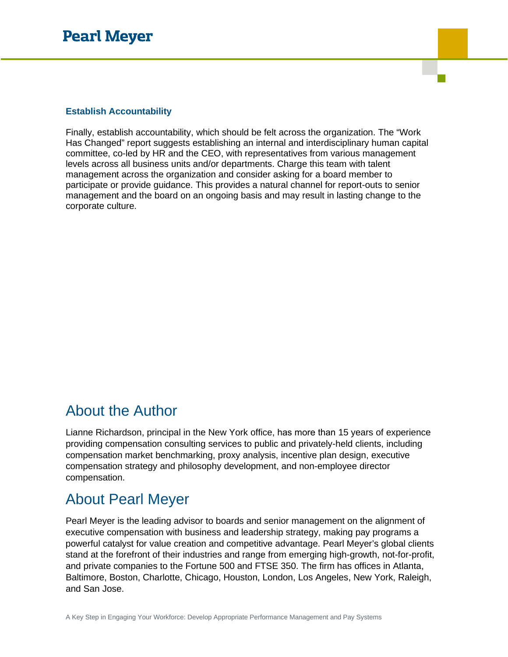#### **Establish Accountability**

Finally, establish accountability, which should be felt across the organization. The "Work Has Changed" report suggests establishing an internal and interdisciplinary human capital committee, co-led by HR and the CEO, with representatives from various management levels across all business units and/or departments. Charge this team with talent management across the organization and consider asking for a board member to participate or provide guidance. This provides a natural channel for report-outs to senior management and the board on an ongoing basis and may result in lasting change to the corporate culture.

### About the Author

Lianne Richardson, principal in the New York office, has more than 15 years of experience providing compensation consulting services to public and privately-held clients, including compensation market benchmarking, proxy analysis, incentive plan design, executive compensation strategy and philosophy development, and non-employee director compensation.

### About Pearl Meyer

Pearl Meyer is the leading advisor to boards and senior management on the alignment of executive compensation with business and leadership strategy, making pay programs a powerful catalyst for value creation and competitive advantage. Pearl Meyer's global clients stand at the forefront of their industries and range from emerging high-growth, not-for-profit, and private companies to the Fortune 500 and FTSE 350. The firm has offices in Atlanta, Baltimore, Boston, Charlotte, Chicago, Houston, London, Los Angeles, New York, Raleigh, and San Jose.